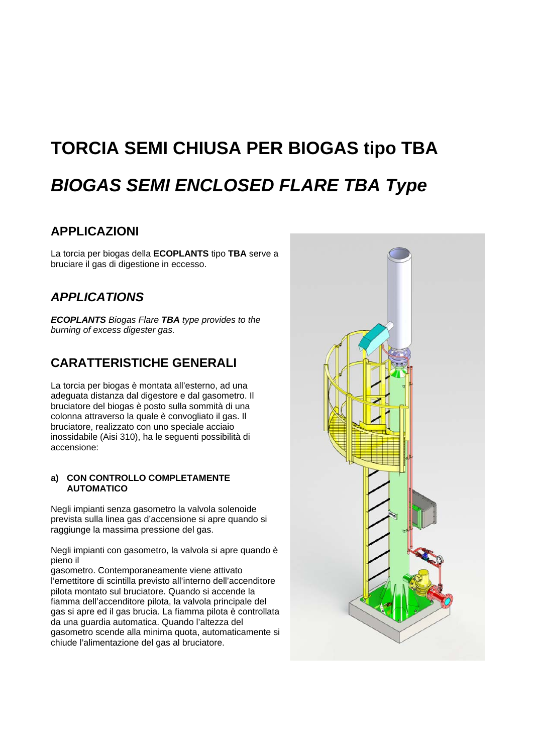# **TORCIA SEMI CHIUSA PER BIOGAS tipo TBA**  *BIOGAS SEMI ENCLOSED FLARE TBA Type*

## **APPLICAZIONI**

La torcia per biogas della **ECOPLANTS** tipo **TBA** serve a bruciare il gas di digestione in eccesso.

## *APPLICATIONS*

*ECOPLANTS Biogas Flare TBA type provides to the burning of excess digester gas.* 

## **CARATTERISTICHE GENERALI**

La torcia per biogas è montata all'esterno, ad una adeguata distanza dal digestore e dal gasometro. Il bruciatore del biogas è posto sulla sommità di una colonna attraverso la quale è convogliato il gas. Il bruciatore, realizzato con uno speciale acciaio inossidabile (Aisi 310), ha le seguenti possibilità di accensione:

#### **a) CON CONTROLLO COMPLETAMENTE AUTOMATICO**

Negli impianti senza gasometro la valvola solenoide prevista sulla linea gas d'accensione si apre quando si raggiunge la massima pressione del gas.

Negli impianti con gasometro, la valvola si apre quando è pieno il

gasometro. Contemporaneamente viene attivato l'emettitore di scintilla previsto all'interno dell'accenditore pilota montato sul bruciatore. Quando si accende la fiamma dell'accenditore pilota, la valvola principale del gas si apre ed il gas brucia. La fiamma pilota è controllata da una guardia automatica. Quando l'altezza del gasometro scende alla minima quota, automaticamente si chiude l'alimentazione del gas al bruciatore.

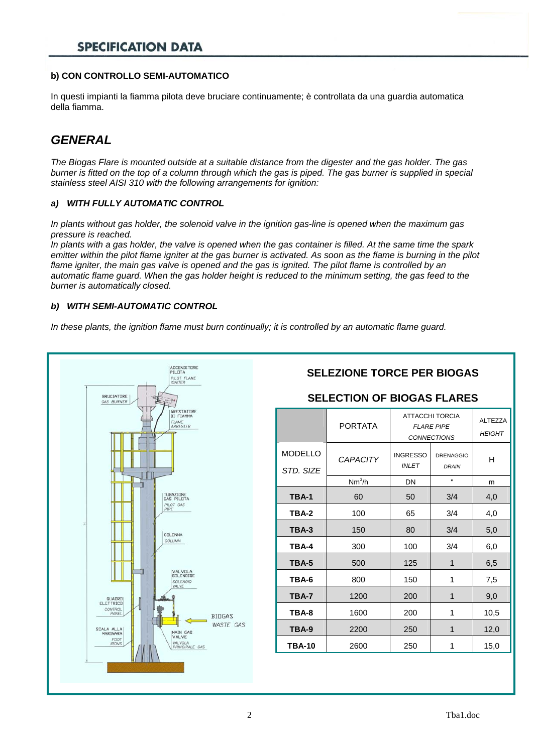## **SPECIFICATION DATA**

#### **b) CON CONTROLLO SEMI-AUTOMATICO**

In questi impianti la fiamma pilota deve bruciare continuamente; è controllata da una guardia automatica della fiamma.

## *GENERAL*

*The Biogas Flare is mounted outside at a suitable distance from the digester and the gas holder. The gas burner is fitted on the top of a column through which the gas is piped. The gas burner is supplied in special stainless steel AISI 310 with the following arrangements for ignition:* 

#### *a) WITH FULLY AUTOMATIC CONTROL*

*In plants without gas holder, the solenoid valve in the ignition gas-line is opened when the maximum gas pressure is reached.* 

*In plants with a gas holder, the valve is opened when the gas container is filled. At the same time the spark emitter within the pilot flame igniter at the gas burner is activated. As soon as the flame is burning in the pilot flame igniter, the main gas valve is opened and the gas is ignited. The pilot flame is controlled by an automatic flame guard. When the gas holder height is reduced to the minimum setting, the gas feed to the burner is automatically closed.* 

#### *b) WITH SEMI-AUTOMATIC CONTROL*

*In these plants, the ignition flame must burn continually; it is controlled by an automatic flame guard.* 

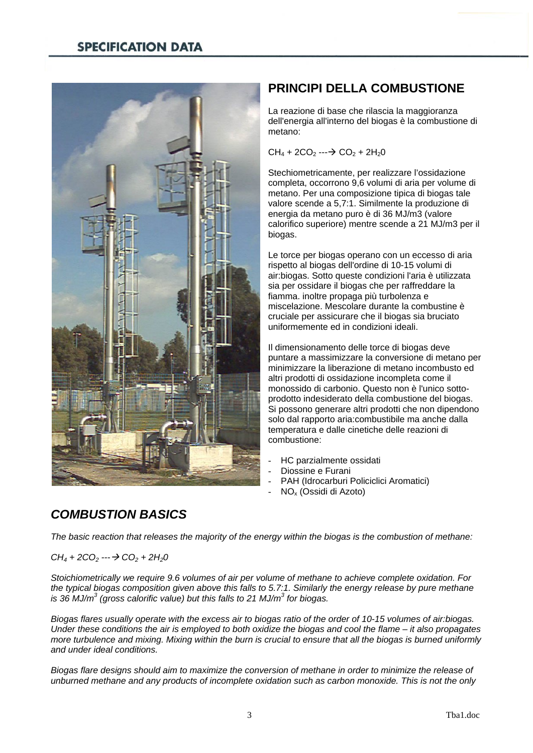

## **PRINCIPI DELLA COMBUSTIONE**

La reazione di base che rilascia la maggioranza dell'energia all'interno del biogas è la combustione di metano:

 $CH_4 + 2CO_2 \longrightarrow CO_2 + 2H_2O$ 

Stechiometricamente, per realizzare l'ossidazione completa, occorrono 9,6 volumi di aria per volume di metano. Per una composizione tipica di biogas tale valore scende a 5,7:1. Similmente la produzione di energia da metano puro è di 36 MJ/m3 (valore calorifico superiore) mentre scende a 21 MJ/m3 per il biogas.

Le torce per biogas operano con un eccesso di aria rispetto al biogas dell'ordine di 10-15 volumi di air:biogas. Sotto queste condizioni l'aria è utilizzata sia per ossidare il biogas che per raffreddare la fiamma. inoltre propaga più turbolenza e miscelazione. Mescolare durante la combustine è cruciale per assicurare che il biogas sia bruciato uniformemente ed in condizioni ideali.

Il dimensionamento delle torce di biogas deve puntare a massimizzare la conversione di metano per minimizzare la liberazione di metano incombusto ed altri prodotti di ossidazione incompleta come il monossido di carbonio. Questo non è l'unico sottoprodotto indesiderato della combustione del biogas. Si possono generare altri prodotti che non dipendono solo dal rapporto aria:combustibile ma anche dalla temperatura e dalle cinetiche delle reazioni di combustione:

- HC parzialmente ossidati
- Diossine e Furani
- PAH (Idrocarburi Policiclici Aromatici)
- NOx (Ossidi di Azoto)

## *COMBUSTION BASICS*

*The basic reaction that releases the majority of the energy within the biogas is the combustion of methane:* 

 $CH_4 + 2CO_2 \longrightarrow CO_2 + 2H_2O$ 

*Stoichiometrically we require 9.6 volumes of air per volume of methane to achieve complete oxidation. For the typical biogas composition given above this falls to 5.7:1. Similarly the energy release by pure methane is 36 MJ/m3 (gross calorific value) but this falls to 21 MJ/m<sup>3</sup> for biogas.* 

*Biogas flares usually operate with the excess air to biogas ratio of the order of 10-15 volumes of air:biogas. Under these conditions the air is employed to both oxidize the biogas and cool the flame – it also propagates more turbulence and mixing. Mixing within the burn is crucial to ensure that all the biogas is burned uniformly and under ideal conditions.* 

*Biogas flare designs should aim to maximize the conversion of methane in order to minimize the release of unburned methane and any products of incomplete oxidation such as carbon monoxide. This is not the only*